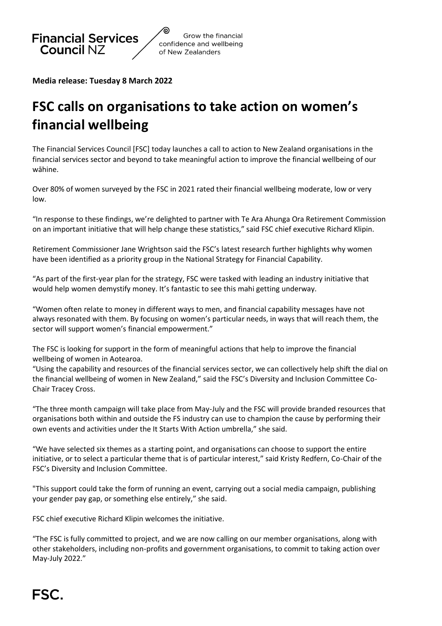

**Media release: Tuesday 8 March 2022**

## **FSC calls on organisations to take action on women's financial wellbeing**

The Financial Services Council [FSC] today launches a call to action to New Zealand organisations in the financial services sector and beyond to take meaningful action to improve the financial wellbeing of our wāhine.

Over 80% of women surveyed by the FSC in 2021 rated their financial wellbeing moderate, low or very low.

"In response to these findings, we're delighted to partner with Te Ara Ahunga Ora Retirement Commission on an important initiative that will help change these statistics," said FSC chief executive Richard Klipin.

Retirement Commissioner Jane Wrightson said the FSC's latest research further highlights why women have been identified as a priority group in the National Strategy for Financial Capability.

"As part of the first-year plan for the strategy, FSC were tasked with leading an industry initiative that would help women demystify money. It's fantastic to see this mahi getting underway.

"Women often relate to money in different ways to men, and financial capability messages have not always resonated with them. By focusing on women's particular needs, in ways that will reach them, the sector will support women's financial empowerment."

The FSC is looking for support in the form of meaningful actions that help to improve the financial wellbeing of women in Aotearoa.

"Using the capability and resources of the financial services sector, we can collectively help shift the dial on the financial wellbeing of women in New Zealand," said the FSC's Diversity and Inclusion Committee Co-Chair Tracey Cross.

"The three month campaign will take place from May-July and the FSC will provide branded resources that organisations both within and outside the FS industry can use to champion the cause by performing their own events and activities under the It Starts With Action umbrella," she said.

"We have selected six themes as a starting point, and organisations can choose to support the entire initiative, or to select a particular theme that is of particular interest," said Kristy Redfern, Co-Chair of the FSC's Diversity and Inclusion Committee.

"This support could take the form of running an event, carrying out a social media campaign, publishing your gender pay gap, or something else entirely," she said.

FSC chief executive Richard Klipin welcomes the initiative.

"The FSC is fully committed to project, and we are now calling on our member organisations, along with other stakeholders, including non-profits and government organisations, to commit to taking action over May-July 2022."